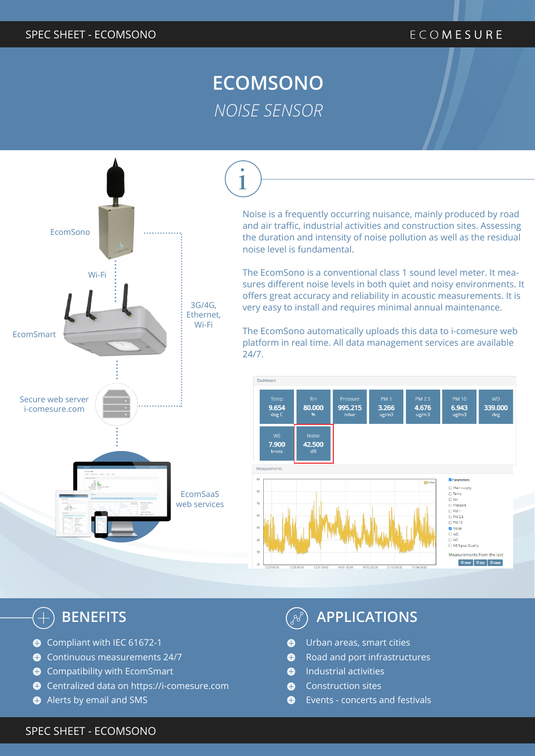# **ECOMSONO** *NOISE SENSOR*



Noise is a frequently occurring nuisance, mainly produced by road and air traffic, industrial activities and construction sites. Assessing the duration and intensity of noise pollution as well as the residual noise level is fundamental.

The EcomSono is a conventional class 1 sound level meter. It measures different noise levels in both quiet and noisy environments. It offers great accuracy and reliability in acoustic measurements. It is very easy to install and requires minimal annual maintenance.

The EcomSono automatically uploads this data to i-comesure web platform in real time. All data management services are available 24/7.



- Compliant with IEC 61672-1
- Continuous measurements 24/7
- **C** Compatibility with EcomSmart
- Centralized data on https://i-comesure.com
- Alerts by email and SMS

# **BENEFITS APPLICATIONS**

- Urban areas, smart cities  $\bullet$
- $\bullet$ Road and port infrastructures
- Industrial activities  $\bullet$
- Construction sites Ô
- $\bullet$ Events - concerts and festivals

### SPEC SHEET - ECOMSONO DUITESSE ET DIRECTION DU